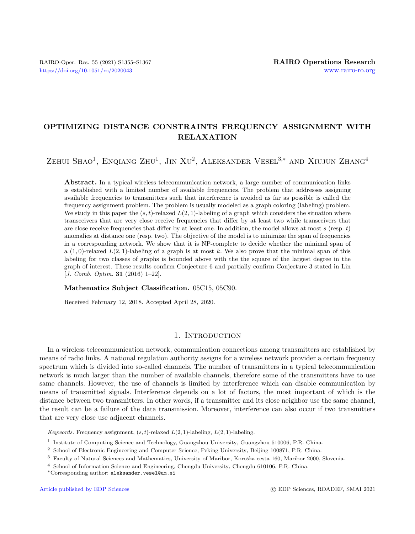# OPTIMIZING DISTANCE CONSTRAINTS FREQUENCY ASSIGNMENT WITH RELAXATION

 $\rm Z$ ehui Shao<sup>1</sup>, Enqiang Zhu<sup>1</sup>, Jin Xu<sup>2</sup>, Aleksander Vesel<sup>3,\*</sup> and Xiujun Zhang<sup>4</sup>

Abstract. In a typical wireless telecommunication network, a large number of communication links is established with a limited number of available frequencies. The problem that addresses assigning available frequencies to transmitters such that interference is avoided as far as possible is called the frequency assignment problem. The problem is usually modeled as a graph coloring (labeling) problem. We study in this paper the  $(s, t)$ -relaxed  $L(2, 1)$ -labeling of a graph which considers the situation where transceivers that are very close receive frequencies that differ by at least two while transceivers that are close receive frequencies that differ by at least one. In addition, the model allows at most  $s$  (resp.  $t$ ) anomalies at distance one (resp. two). The objective of the model is to minimize the span of frequencies in a corresponding network. We show that it is NP-complete to decide whether the minimal span of a  $(1,0)$ -relaxed  $L(2,1)$ -labeling of a graph is at most k. We also prove that the minimal span of this labeling for two classes of graphs is bounded above with the the square of the largest degree in the graph of interest. These results confirm Conjecture 6 and partially confirm Conjecture 3 stated in Lin [*J. Comb. Optim.* **31** (2016) 1–22].

#### Mathematics Subject Classification. 05C15, 05C90.

Received February 12, 2018. Accepted April 28, 2020.

## 1. INTRODUCTION

In a wireless telecommunication network, communication connections among transmitters are established by means of radio links. A national regulation authority assigns for a wireless network provider a certain frequency spectrum which is divided into so-called channels. The number of transmitters in a typical telecommunication network is much larger than the number of available channels, therefore some of the transmitters have to use same channels. However, the use of channels is limited by interference which can disable communication by means of transmitted signals. Interference depends on a lot of factors, the most important of which is the distance between two transmitters. In other words, if a transmitter and its close neighbor use the same channel, the result can be a failure of the data transmission. Moreover, interference can also occur if two transmitters that are very close use adjacent channels.

Keywords. Frequency assignment,  $(s, t)$ -relaxed  $L(2, 1)$ -labeling,  $L(2, 1)$ -labeling.

<sup>&</sup>lt;sup>1</sup> Institute of Computing Science and Technology, Guangzhou University, Guangzhou 510006, P.R. China.

<sup>2</sup> School of Electronic Engineering and Computer Science, Peking University, Beijing 100871, P.R. China.

<sup>&</sup>lt;sup>3</sup> Faculty of Natural Sciences and Mathematics, University of Maribor, Koroška cesta 160, Maribor 2000, Slovenia.

<sup>4</sup> School of Information Science and Engineering, Chengdu University, Chengdu 610106, P.R. China.

<sup>∗</sup>Corresponding author: [aleksander.vesel@um.si](mailto:aleksander.vesel@um.si)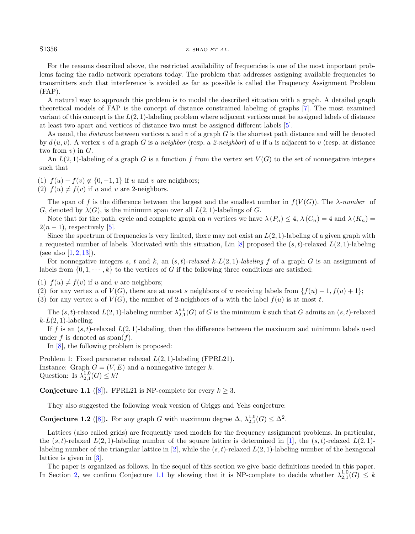## S1356 Z. SHAO ET AL.

For the reasons described above, the restricted availability of frequencies is one of the most important problems facing the radio network operators today. The problem that addresses assigning available frequencies to transmitters such that interference is avoided as far as possible is called the Frequency Assignment Problem (FAP).

A natural way to approach this problem is to model the described situation with a graph. A detailed graph theoretical models of FAP is the concept of distance constrained labeling of graphs [\[7\]](#page-12-0). The most examined variant of this concept is the  $L(2, 1)$ -labeling problem where adjacent vertices must be assigned labels of distance at least two apart and vertices of distance two must be assigned different labels [\[5\]](#page-12-1).

As usual, the *distance* between vertices u and v of a graph  $G$  is the shortest path distance and will be denoted by  $d(u, v)$ . A vertex v of a graph G is a neighbor (resp. a 2-neighbor) of u if u is adjacent to v (resp. at distance two from  $v$ ) in  $G$ .

An  $L(2, 1)$ -labeling of a graph G is a function f from the vertex set  $V(G)$  to the set of nonnegative integers such that

(1)  $f(u) - f(v) \notin \{0, -1, 1\}$  if u and v are neighbors;

(2)  $f(u) \neq f(v)$  if u and v are 2-neighbors.

The span of f is the difference between the largest and the smallest number in  $f(V(G))$ . The  $\lambda$ -number of G, denoted by  $\lambda(G)$ , is the minimum span over all  $L(2, 1)$ -labelings of G.

Note that for the path, cycle and complete graph on n vertices we have  $\lambda(P_n) \leq 4$ ,  $\lambda(C_n) = 4$  and  $\lambda(K_n) =$  $2(n-1)$ , respectively [\[5\]](#page-12-1).

Since the spectrum of frequencies is very limited, there may not exist an  $L(2, 1)$ -labeling of a given graph with a requested number of labels. Motivated with this situation, Lin [\[8\]](#page-12-2) proposed the  $(s, t)$ -relaxed  $L(2, 1)$ -labeling (see also  $[1, 2, 13]$  $[1, 2, 13]$  $[1, 2, 13]$  $[1, 2, 13]$  $[1, 2, 13]$ ).

For nonnegative integers s, t and k, an  $(s, t)$ -relaxed k-L(2, 1)-labeling f of a graph G is an assignment of labels from  $\{0, 1, \dots, k\}$  to the vertices of G if the following three conditions are satisfied:

(1)  $f(u) \neq f(v)$  if u and v are neighbors;

(2) for any vertex u of  $V(G)$ , there are at most s neighbors of u receiving labels from  $\{f(u) - 1, f(u) + 1\}$ ;

(3) for any vertex u of  $V(G)$ , the number of 2-neighbors of u with the label  $f(u)$  is at most t.

The  $(s, t)$ -relaxed  $L(2, 1)$ -labeling number  $\lambda_{2,1}^{s,t}(G)$  of G is the minimum k such that G admits an  $(s, t)$ -relaxed  $k-L(2, 1)$ -labeling.

If f is an  $(s, t)$ -relaxed  $L(2, 1)$ -labeling, then the difference between the maximum and minimum labels used under f is denoted as span $(f)$ .

<span id="page-1-1"></span>In [\[8\]](#page-12-2), the following problem is proposed:

Problem 1: Fixed parameter relaxed L(2, 1)-labeling (FPRL21). Instance: Graph  $G = (V, E)$  and a nonnegative integer k. Question: Is  $\lambda_{2,1}^{1,0}(G) \leq k$ ?

<span id="page-1-0"></span>Conjecture 1.1 ([\[8\]](#page-12-2)). FPRL21 is NP-complete for every  $k \geq 3$ .

They also suggested the following weak version of Griggs and Yehs conjecture:

Conjecture 1.2 ([\[8\]](#page-12-2)). For any graph G with maximum degree  $\Delta$ ,  $\lambda_{2,1}^{1,0}(G) \leq \Delta^2$ .

Lattices (also called grids) are frequently used models for the frequency assignment problems. In particular, the  $(s, t)$ -relaxed  $L(2, 1)$ -labeling number of the square lattice is determined in [\[1\]](#page-12-3), the  $(s, t)$ -relaxed  $L(2, 1)$ -labeling number of the triangular lattice in [\[2\]](#page-12-4), while the  $(s, t)$ -relaxed  $L(2, 1)$ -labeling number of the hexagonal lattice is given in [\[3\]](#page-12-6).

The paper is organized as follows. In the sequel of this section we give basic definitions needed in this paper. In Section [2,](#page-2-0) we confirm Conjecture [1.1](#page-1-0) by showing that it is NP-complete to decide whether  $\lambda_{2,1}^{1,0}(G) \leq k$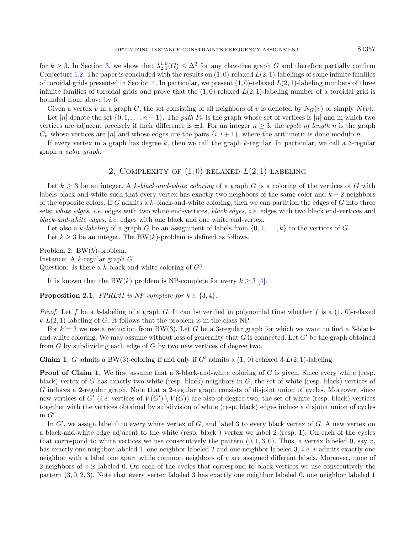for  $k \geq 3$ . In Section [3,](#page-5-0) we show that  $\lambda_{2,1}^{1,0}(G) \leq \Delta^2$  for any claw-free graph G and therefore partially confirm Conjecture [1.2.](#page-1-1) The paper is concluded with the results on  $(1, 0)$ -relaxed  $L(2, 1)$ -labelings of some infinite families of toroidal grids presented in Section [4.](#page-7-0) In particular, we present  $(1,0)$ -relaxed  $L(2,1)$ -labeling numbers of three infinite families of toroidal grids and prove that the  $(1,0)$ -relaxed  $L(2,1)$ -labeling number of a toroidal grid is bounded from above by 6.

Given a vertex v in a graph G, the set consisting of all neighbors of v is denoted by  $N_G(v)$  or simply  $N(v)$ .

Let [n] denote the set  $\{0, 1, \ldots, n-1\}$ . The path  $P_n$  is the graph whose set of vertices is [n] and in which two vertices are adjacent precisely if their difference is  $\pm 1$ . For an integer  $n \geq 3$ , the cycle of length n is the graph  $C_n$  whose vertices are [n] and whose edges are the pairs  $\{i, i + 1\}$ , where the arithmetic is done modulo n.

If every vertex in a graph has degree  $k$ , then we call the graph  $k$ -regular. In particular, we call a 3-regular graph a cubic graph.

## <span id="page-2-1"></span>2. COMPLEXITY OF  $(1, 0)$ -RELAXED  $L(2, 1)$ -LABELING

<span id="page-2-0"></span>Let  $k \geq 3$  be an integer. A k-black-and-white coloring of a graph G is a coloring of the vertices of G with labels black and white such that every vertex has exactly two neighbors of the same color and  $k-2$  neighbors of the opposite colors. If G admits a k-black-and-white coloring, then we can partition the edges of  $G$  into three sets: white edges, i.e. edges with two white end-vertices, black edges, i.e. edges with two black end-vertices and black-and-white edges, i.e. edges with one black and one white end-vertex.

Let also a k-labeling of a graph G be an assignment of labels from  $\{0, 1, \ldots, k\}$  to the vertices of G.

Let  $k \geq 3$  be an integer. The BW(k)-problem is defined as follows.

Problem 2:  $BW(k)$ -problem.

Instance: A k-regular graph G.

Question: Is there a  $k$ -black-and-white coloring of  $G$ ?

It is known that the BW(k) problem is NP-complete for every  $k \geq 3$  [\[4\]](#page-12-7).

**Proposition 2.1.** FPRL21 is NP-complete for  $k \in \{3, 4\}$ .

*Proof.* Let f be a k-labeling of a graph G. It can be verified in polynomial time whether f is a  $(1, 0)$ -relaxed  $k-L(2, 1)$ -labeling of G. It follows that the problem is in the class NP.

For  $k = 3$  we use a reduction from BW(3). Let G be a 3-regular graph for which we want to find a 3-blackand-white coloring. We may assume without loss of generality that G is connected. Let  $G'$  be the graph obtained from G by subdividing each edge of G by two new vertices of degree two.

**Claim 1.** G admits a BW(3)-coloring if and only if G' admits a  $(1, 0)$ -relaxed 3-L(2, 1)-labeling.

**Proof of Claim 1.** We first assume that a 3-black-and-white coloring of G is given. Since every white (resp. black) vertex of G has exactly two white (resp. black) neighbors in  $G$ , the set of white (resp. black) vertices of G induces a 2-regular graph. Note that a 2-regular graph consists of disjoint union of cycles. Moreover, since new vertices of G' (i.e. vertices of  $V(G') \setminus V(G)$ ) are also of degree two, the set of white (resp. black) vertices together with the vertices obtained by subdivision of white (resp. black) edges induce a disjoint union of cycles in  $G'$ .

In  $G'$ , we assign label 0 to every white vertex of  $G$ , and label 3 to every black vertex of  $G$ . A new vertex on a black-and-white edge adjacent to the white (resp. black ) vertex we label 2 (resp. 1). On each of the cycles that correspond to white vertices we use consecutively the pattern  $(0, 1, 3, 0)$ . Thus, a vertex labeled 0, say v, has exactly one neighbor labeled 1, one neighbor labeled 2 and one neighbor labeled 3, *i.e.* v admits exactly one neighbor with a label one apart while common neighbors of  $v$  are assigned different labels. Moreover, none of 2-neighbors of  $v$  is labeled 0. On each of the cycles that correspond to black vertices we use consecutively the pattern (3, 0, 2, 3). Note that every vertex labeled 3 has exactly one neighbor labeled 0, one neighbor labeled 1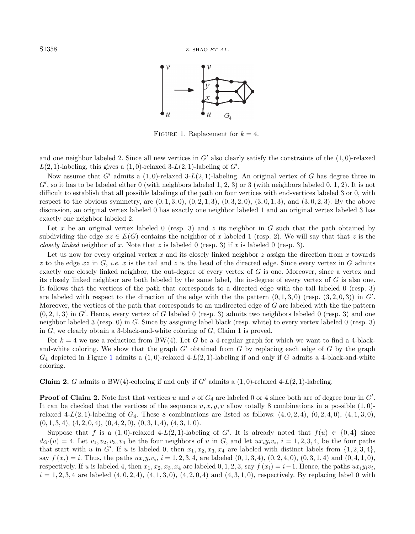<span id="page-3-0"></span>

FIGURE 1. Replacement for  $k = 4$ .

and one neighbor labeled 2. Since all new vertices in  $G'$  also clearly satisfy the constraints of the  $(1, 0)$ -relaxed  $L(2, 1)$ -labeling, this gives a  $(1, 0)$ -relaxed 3- $L(2, 1)$ -labeling of  $G'$ .

Now assume that G' admits a  $(1, 0)$ -relaxed 3-L(2, 1)-labeling. An original vertex of G has degree three in  $G'$ , so it has to be labeled either 0 (with neighbors labeled 1, 2, 3) or 3 (with neighbors labeled 0, 1, 2). It is not difficult to establish that all possible labelings of the path on four vertices with end-vertices labeled 3 or 0, with respect to the obvious symmetry, are  $(0, 1, 3, 0), (0, 2, 1, 3), (0, 3, 2, 0), (3, 0, 1, 3),$  and  $(3, 0, 2, 3)$ . By the above discussion, an original vertex labeled 0 has exactly one neighbor labeled 1 and an original vertex labeled 3 has exactly one neighbor labeled 2.

Let x be an original vertex labeled 0 (resp. 3) and z its neighbor in G such that the path obtained by subdividing the edge  $xz \in E(G)$  contains the neighbor of x labeled 1 (resp. 2). We will say that that z is the closely linked neighbor of x. Note that z is labeled 0 (resp. 3) if x is labeled 0 (resp. 3).

Let us now for every original vertex x and its closely linked neighbor z assign the direction from x towards z to the edge  $xz$  in G, *i.e.* x is the tail and z is the head of the directed edge. Since every vertex in G admits exactly one closely linked neighbor, the out-degree of every vertex of G is one. Moreover, since a vertex and its closely linked neighbor are both labeled by the same label, the in-degree of every vertex of G is also one. It follows that the vertices of the path that corresponds to a directed edge with the tail labeled 0 (resp. 3) are labeled with respect to the direction of the edge with the the pattern  $(0, 1, 3, 0)$  (resp.  $(3, 2, 0, 3)$ ) in G'. Moreover, the vertices of the path that corresponds to an undirected edge of G are labeled with the the pattern  $(0, 2, 1, 3)$  in G'. Hence, every vertex of G labeled 0 (resp. 3) admits two neighbors labeled 0 (resp. 3) and one neighbor labeled 3 (resp. 0) in G. Since by assigning label black (resp. white) to every vertex labeled 0 (resp. 3) in  $G$ , we clearly obtain a 3-black-and-white coloring of  $G$ , Claim 1 is proved.

For  $k = 4$  we use a reduction from BW(4). Let G be a 4-regular graph for which we want to find a 4-blackand-white coloring. We show that the graph  $G'$  obtained from  $G$  by replacing each edge of  $G$  by the graph  $G_4$  depicted in Figure [1](#page-3-0) admits a  $(1,0)$ -relaxed  $4-L(2,1)$ -labeling if and only if G admits a 4-black-and-white coloring.

**Claim 2.** G admits a BW(4)-coloring if and only if G' admits a  $(1, 0)$ -relaxed  $4-L(2, 1)$ -labeling.

**Proof of Claim 2.** Note first that vertices u and v of  $G_4$  are labeled 0 or 4 since both are of degree four in  $G'$ . It can be checked that the vertices of the sequence  $u, x, y, v$  allow totally 8 combinations in a possible  $(1, 0)$ relaxed 4-L(2, 1)-labeling of  $G_4$ . These 8 combinations are listed as follows:  $(4, 0, 2, 4)$ ,  $(0, 2, 4, 0)$ ,  $(4, 1, 3, 0)$ ,  $(0, 1, 3, 4), (4, 2, 0, 4), (0, 4, 2, 0), (0, 3, 1, 4), (4, 3, 1, 0).$ 

Suppose that f is a  $(1,0)$ -relaxed 4-L $(2,1)$ -labeling of G'. It is already noted that  $f(u) \in \{0,4\}$  since  $d_{G}(u) = 4$ . Let  $v_1, v_2, v_3, v_4$  be the four neighbors of u in G, and let  $ux_iy_iv_i$ ,  $i = 1, 2, 3, 4$ , be the four paths that start with u in G'. If u is labeled 0, then  $x_1, x_2, x_3, x_4$  are labeled with distinct labels from  $\{1, 2, 3, 4\}$ , say  $f(x_i) = i$ . Thus, the paths  $ux_iy_iv_i$ ,  $i = 1, 2, 3, 4$ , are labeled  $(0, 1, 3, 4)$ ,  $(0, 2, 4, 0)$ ,  $(0, 3, 1, 4)$  and  $(0, 4, 1, 0)$ , respectively. If u is labeled 4, then  $x_1, x_2, x_3, x_4$  are labeled  $0, 1, 2, 3$ , say  $f(x_i) = i - 1$ . Hence, the paths  $ux_iy_iv_i$ ,  $i = 1, 2, 3, 4$  are labeled  $(4, 0, 2, 4), (4, 1, 3, 0), (4, 2, 0, 4)$  and  $(4, 3, 1, 0)$ , respectively. By replacing label 0 with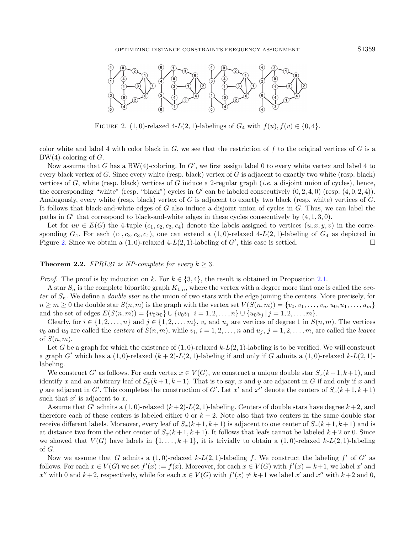<span id="page-4-0"></span>

FIGURE 2. (1, 0)-relaxed 4-L(2, 1)-labelings of  $G_4$  with  $f(u)$ ,  $f(v) \in \{0, 4\}$ .

color white and label 4 with color black in  $G$ , we see that the restriction of f to the original vertices of  $G$  is a  $BW(4)$ -coloring of  $G$ .

Now assume that G has a BW(4)-coloring. In  $G'$ , we first assign label 0 to every white vertex and label 4 to every black vertex of G. Since every white (resp. black) vertex of G is adjacent to exactly two white (resp. black) vertices of G, white (resp. black) vertices of G induce a 2-regular graph (*i.e.* a disjoint union of cycles), hence, the corresponding "white" (resp. "black") cycles in  $G'$  can be labeled consecutively  $(0, 2, 4, 0)$  (resp.  $(4, 0, 2, 4)$ ). Analogously, every white (resp. black) vertex of G is adjacent to exactly two black (resp. white) vertices of  $G$ . It follows that black-and-white edges of G also induce a disjoint union of cycles in G. Thus, we can label the paths in  $G'$  that correspond to black-and-white edges in these cycles consecutively by  $(4, 1, 3, 0)$ .

Let for  $uv \in E(G)$  the 4-tuple  $(c_1, c_2, c_3, c_4)$  denote the labels assigned to vertices  $(u, x, y, v)$  in the corresponding  $G_4$ . For each  $(c_1, c_2, c_3, c_4)$ , one can extend a  $(1, 0)$ -relaxed 4-L(2, 1)-labeling of  $G_4$  as depicted in Figure [2.](#page-4-0) Since we obtain a  $(1,0)$ -relaxed  $4-L(2,1)$ -labeling of  $G'$ , this case is settled.

#### **Theorem 2.2.** FPRL21 is NP-complete for every  $k \geq 3$ .

*Proof.* The proof is by induction on k. For  $k \in \{3, 4\}$ , the result is obtained in Proposition [2.1.](#page-2-1)

A star  $S_n$  is the complete bipartite graph  $K_{1,n}$ , where the vertex with a degree more that one is called the center of  $S_n$ . We define a *double star* as the union of two stars with the edge joining the centers. More precisely, for  $n \geq m \geq 0$  the double star  $S(n, m)$  is the graph with the vertex set  $V(S(n, m)) = \{v_0, v_1, \ldots, v_n, u_0, u_1, \ldots, u_m\}$ and the set of edges  $E(S(n,m)) = \{v_0u_0\} \cup \{v_0v_i | i = 1, 2, ..., n\} \cup \{u_0u_j | j = 1, 2, ..., m\}.$ 

Clearly, for  $i \in \{1, 2, ..., n\}$  and  $j \in \{1, 2, ..., m\}$ ,  $v_i$  and  $u_j$  are vertices of degree 1 in  $S(n, m)$ . The vertices  $v_0$  and  $u_0$  are called the *centers* of  $S(n, m)$ , while  $v_i$ ,  $i = 1, 2, ..., n$  and  $u_j$ ,  $j = 1, 2, ..., m$ , are called the *leaves* of  $S(n, m)$ .

Let G be a graph for which the existence of  $(1,0)$ -relaxed  $k-L(2,1)$ -labeling is to be verified. We will construct a graph G' which has a  $(1, 0)$ -relaxed  $(k + 2)$ -L $(2, 1)$ -labeling if and only if G admits a  $(1, 0)$ -relaxed  $k$ -L $(2, 1)$ labeling.

We construct G' as follows. For each vertex  $x \in V(G)$ , we construct a unique double star  $S_x(k+1, k+1)$ , and identify x and an arbitrary leaf of  $S_x(k+1, k+1)$ . That is to say, x and y are adjacent in G if and only if x and y are adjacent in G'. This completes the construction of G'. Let x' and x'' denote the centers of  $S_x(k+1, k+1)$ such that  $x'$  is adjacent to  $x$ .

Assume that G' admits a  $(1, 0)$ -relaxed  $(k+2)$ -L $(2, 1)$ -labeling. Centers of double stars have degree  $k+2$ , and therefore each of these centers is labeled either 0 or  $k + 2$ . Note also that two centers in the same double star receive different labels. Moreover, every leaf of  $S_x(k+1, k+1)$  is adjacent to one center of  $S_x(k+1, k+1)$  and is at distance two from the other center of  $S_x(k+1, k+1)$ . It follows that leafs cannot be labeled  $k+2$  or 0. Since we showed that  $V(G)$  have labels in  $\{1,\ldots,k+1\}$ , it is trivially to obtain a  $(1,0)$ -relaxed  $k-L(2,1)$ -labeling of G.

Now we assume that G admits a  $(1,0)$ -relaxed k-L $(2,1)$ -labeling f. We construct the labeling f' of G' as follows. For each  $x \in V(G)$  we set  $f'(x) := f(x)$ . Moreover, for each  $x \in V(G)$  with  $f'(x) = k+1$ , we label x' and x'' with 0 and k+2, respectively, while for each  $x \in V(G)$  with  $f'(x) \neq k+1$  we label x' and x'' with  $k+2$  and 0,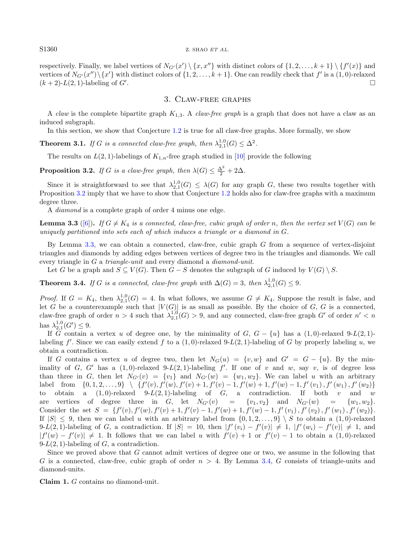#### $S1360$  z. SHAO ET AL.

respectively. Finally, we label vertices of  $N_{G'}(x') \setminus \{x, x''\}$  with distinct colors of  $\{1, 2, \ldots, k + 1\} \setminus \{f'(x)\}$  and vertices of  $N_{G'}(x'')\setminus\{x'\}$  with distinct colors of  $\{1, 2, \ldots, k+1\}$ . One can readily check that  $f'$  is a  $(1, 0)$ -relaxed  $(k+2)$ -L(2, 1)-labeling of G'. .

## <span id="page-5-4"></span><span id="page-5-3"></span><span id="page-5-2"></span><span id="page-5-1"></span>3. Claw-free graphs

<span id="page-5-0"></span>A claw is the complete bipartite graph  $K_{1,3}$ . A claw-free graph is a graph that does not have a claw as an induced subgraph.

In this section, we show that Conjecture [1.2](#page-1-1) is true for all claw-free graphs. More formally, we show

**Theorem 3.1.** If G is a connected claw-free graph, then  $\lambda_{2,1}^{1,0}(G) \leq \Delta^2$ .

The results on  $L(2, 1)$ -labelings of  $K_{1,n}$ -free graph studied in [\[10\]](#page-12-8) provide the following

**Proposition 3.2.** If G is a claw-free graph, then  $\lambda(G) \leq \frac{\Delta^2}{2} + 2\Delta$ .

Since it is straightforward to see that  $\lambda_{2,1}^{1,0}(G) \leq \lambda(G)$  for any graph G, these two results together with Proposition [3.2](#page-5-1) imply that we have to show that Conjecture [1.2](#page-1-1) holds also for claw-free graphs with a maximum degree three.

A diamond is a complete graph of order 4 minus one edge.

**Lemma 3.3** ([\[6\]](#page-12-9)). If  $G \neq K_4$  is a connected, claw-free, cubic graph of order n, then the vertex set  $V(G)$  can be uniquely partitioned into sets each of which induces a triangle or a diamond in  $G$ .

By Lemma [3.3,](#page-5-2) we can obtain a connected, claw-free, cubic graph  $G$  from a sequence of vertex-disjoint triangles and diamonds by adding edges between vertices of degree two in the triangles and diamonds. We call every triangle in G a triangle-unit and every diamond a *diamond-unit*.

Let G be a graph and  $S \subseteq V(G)$ . Then  $G - S$  denotes the subgraph of G induced by  $V(G) \setminus S$ .

**Theorem 3.4.** If G is a connected, claw-free graph with  $\Delta(G) = 3$ , then  $\lambda_{2,1}^{1,0}(G) \leq 9$ .

*Proof.* If  $G = K_4$ , then  $\lambda_{2,1}^{1,0}(G) = 4$ . In what follows, we assume  $G \neq K_4$ . Suppose the result is false, and let G be a counterexample such that  $|V(G)|$  is as small as possible. By the choice of G, G is a connected, claw-free graph of order  $n > 4$  such that  $\lambda_{2,1}^{1,0}(G) > 9$ , and any connected, claw-free graph G' of order  $n' < n$ has  $\lambda_{2,1}^{1,0}(G') \leq 9$ .

If G contain a vertex u of degree one, by the minimality of  $G, G - \{u\}$  has a  $(1, 0)$ -relaxed 9-L(2, 1)labeling  $f'$ . Since we can easily extend f to a  $(1,0)$ -relaxed 9-L $(2,1)$ -labeling of G by properly labeling u, we obtain a contradiction.

If G contains a vertex u of degree two, then let  $N_G(u) = \{v, w\}$  and  $G' = G - \{u\}$ . By the minimality of G, G' has a  $(1, 0)$ -relaxed 9-L $(2, 1)$ -labeling f'. If one of v and w, say v, is of degree less than three in G, then let  $N_{G'}(v) = \{v_1\}$  and  $N_{G'}(w) = \{w_1, w_2\}$ . We can label u with an arbitrary label from  $\{0, 1, 2, \ldots, 9\} \setminus \{f'(v), f'(w), f'(v) + 1, f'(v) - 1, f'(w) + 1, f'(w) - 1, f'(w_1), f'(w_1), f'(w_2)\}$ to obtain a  $(1, 0)$ -relaxed 9- $L(2, 1)$ -labeling of  $G$ , a contradiction. If both v and w are vertices of degree three in G, let  $N_{G'}(v) = \{v_1, v_2\}$  and  $N_{G'}(w) = \{w_1, w_2\}.$ Consider the set  $S = \{f'(v), f'(w), f'(v) + 1, f'(v) - 1, f'(w) + 1, f'(w) - 1, f'(v_1), f'(v_2), f'(w_1), f'(w_2)\}.$ If  $|S| \leq 9$ , then we can label u with an arbitrary label from  $\{0, 1, 2, \ldots, 9\} \setminus S$  to obtain a  $(1, 0)$ -relaxed 9-L(2, 1)-labeling of G, a contradiction. If  $|S| = 10$ , then  $|f'(v_i) - f'(v)| \neq 1$ ,  $|f'(w_i) - f'(v)| \neq 1$ , and  $|f'(w) - f'(v)| \neq 1$ . It follows that we can label u with  $f'(v) + 1$  or  $f'(v) - 1$  to obtain a  $(1,0)$ -relaxed  $9-L(2, 1)$ -labeling of G, a contradiction.

Since we proved above that G cannot admit vertices of degree one or two, we assume in the following that G is a connected, claw-free, cubic graph of order  $n > 4$ . By Lemma [3.4,](#page-5-3) G consists of triangle-units and diamond-units.

Claim 1. G contains no diamond-unit.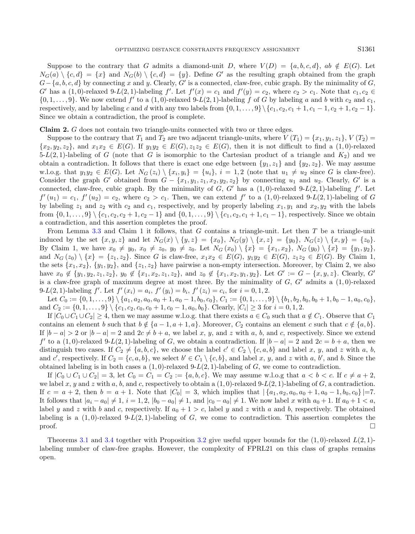Suppose to the contrary that G admits a diamond-unit D, where  $V(D) = \{a, b, c, d\}$ ,  $ab \notin E(G)$ . Let  $N_G(a) \setminus \{c, d\} = \{x\}$  and  $N_G(b) \setminus \{c, d\} = \{y\}$ . Define G' as the resulting graph obtained from the graph  $G - \{a, b, c, d\}$  by connecting x and y. Clearly, G' is a connected, claw-free, cubic graph. By the minimality of G,  $G'$  has a  $(1,0)$ -relaxed 9- $L(2,1)$ -labeling  $f'$ . Let  $f'(x) = c_1$  and  $f'(y) = c_2$ , where  $c_2 > c_1$ . Note that  $c_1, c_2 \in$  $\{0,1,\ldots,9\}$ . We now extend  $f'$  to a  $(1,0)$ -relaxed 9- $L(2,1)$ -labeling f of G by labeling a and b with  $c_2$  and  $c_1$ , respectively, and by labeling c and d with any two labels from  $\{0, 1, \ldots, 9\} \$   $\{c_1, c_2, c_1 + 1, c_1 - 1, c_2 + 1, c_2 - 1\}$ . Since we obtain a contradiction, the proof is complete.

Claim 2. G does not contain two triangle-units connected with two or three edges.

Suppose to the contrary that  $T_1$  and  $T_2$  are two adjacent triangle-units, where  $V(T_1) = \{x_1, y_1, z_1\}, V(T_2) =$  ${x_2,y_2,z_2}$ , and  $x_1x_2 \in E(G)$ . If  $y_1y_2 \in E(G), z_1z_2 \in E(G)$ , then it is not difficult to find a  $(1,0)$ -relaxed  $5-L(2, 1)$ -labeling of G (note that G is isomorphic to the Cartesian product of a triangle and  $K_2$ ) and we obtain a contradiction. It follows that there is exact one edge between  $\{y_1, z_1\}$  and  $\{y_2, z_2\}$ . We may assume w.l.o.g. that  $y_1y_2 \in E(G)$ . Let  $N_G(z_i) \setminus \{x_i, y_i\} = \{u_i\}, i = 1, 2$  (note that  $u_1 \neq u_2$  since G is claw-free). Consider the graph G' obtained from  $G - \{x_1, y_1, z_1, x_2, y_2, z_2\}$  by connecting  $u_1$  and  $u_2$ . Clearly, G' is a connected, claw-free, cubic graph. By the minimality of  $G$ ,  $G'$  has a  $(1,0)$ -relaxed 9- $L(2, 1)$ -labeling  $f'$ . Let  $f'(u_1) = c_1$ ,  $f'(u_2) = c_2$ , where  $c_2 > c_1$ . Then, we can extend f' to a  $(1,0)$ -relaxed 9-L(2, 1)-labeling of G by labeling  $z_1$  and  $z_2$  with  $c_2$  and  $c_1$ , respectively, and by properly labeling  $x_1, y_1$  and  $x_2, y_2$  with the labels from  $\{0, 1, \ldots, 9\} \setminus \{c_1, c_2, c_2 + 1, c_2 - 1\}$  and  $\{0, 1, \ldots, 9\} \setminus \{c_1, c_2, c_1 + 1, c_1 - 1\}$ , respectively. Since we obtain a contradiction, and this assertion completes the proof.

From Lemma [3.3](#page-5-2) and Claim 1 it follows, that G contains a triangle-unit. Let then T be a triangle-unit induced by the set  $\{x, y, z\}$  and let  $N_G(x) \setminus \{y, z\} = \{x_0\}$ ,  $N_G(y) \setminus \{x, z\} = \{y_0\}$ ,  $N_G(z) \setminus \{x, y\} = \{z_0\}$ . By Claim 1, we have  $x_0 \neq y_0$ ,  $x_0 \neq z_0$ ,  $y_0 \neq z_0$ . Let  $N_G(x_0) \setminus \{x\} = \{x_1, x_2\}$ ,  $N_G(y_0) \setminus \{x\} = \{y_1, y_2\}$ , and  $N_G(z_0) \setminus \{x\} = \{z_1, z_2\}$ . Since G is claw-free,  $x_1x_2 \in E(G)$ ,  $y_1y_2 \in E(G)$ ,  $z_1z_2 \in E(G)$ . By Claim 1, the sets  $\{x_1, x_2\}$ ,  $\{y_1, y_2\}$ , and  $\{z_1, z_2\}$  have pairwise a non-empty intersection. Moreover, by Claim 2, we also have  $x_0 \notin \{y_1, y_2, z_1, z_2\}$ ,  $y_0 \notin \{x_1, x_2, z_1, z_2\}$ , and  $z_0 \notin \{x_1, x_2, y_1, y_2\}$ . Let  $G' := G - \{x, y, z\}$ . Clearly,  $G'$ is a claw-free graph of maximum degree at most three. By the minimality of  $G, G'$  admits a  $(1, 0)$ -relaxed 9-L(2, 1)-labeling f'. Let  $f'(x_i) = a_i$ ,  $f'(y_i) = b_i$ ,  $f'(z_i) = c_i$ , for  $i = 0, 1, 2$ .

Let  $C_0 := \{0, 1, \ldots, 9\} \setminus \{a_1, a_2, a_0, a_0 + 1, a_0 - 1, b_0, c_0\}, C_1 := \{0, 1, \ldots, 9\} \setminus \{b_1, b_2, b_0, b_0 + 1, b_0 - 1, a_0, c_0\},$ and  $C_2 := \{0, 1, \ldots, 9\} \setminus \{c_1, c_2, c_0, c_0 + 1, c_0 - 1, a_0, b_0\}$ . Clearly,  $|C_i| \geq 3$  for  $i = 0, 1, 2$ .

If  $|C_0 \cup C_1 \cup C_2| \geq 4$ , then we may assume w.l.o.g. that there exists  $a \in C_0$  such that  $a \notin C_1$ . Observe that  $C_1$ contains an element b such that  $b \notin \{a-1, a+1, a\}$ . Moreover,  $C_2$  contains an element c such that  $c \notin \{a, b\}$ . If  $|b - a| > 2$  or  $|b - a| = 2$  and  $2c \neq b + a$ , we label x, y, and z with a, b, and c, respectively. Since we extend f' to a  $(1,0)$ -relaxed 9-L(2, 1)-labeling of G, we obtain a contradiction. If  $|b - a| = 2$  and  $2c = b + a$ , then we distinguish two cases. If  $C_2 \neq \{a, b, c\}$ , we choose the label  $c' \in C_2 \setminus \{c, a, b\}$  and label x, y, and z with a, b, and c', respectively. If  $C_2 = \{c, a, b\}$ , we select  $b' \in C_1 \setminus \{c, b\}$ , and label x, y, and z with a, b', and b. Since the obtained labeling is in both cases a  $(1, 0)$ -relaxed 9- $L(2, 1)$ -labeling of G, we come to contradiction.

If  $|C_0 \cup C_1 \cup C_2| = 3$ , let  $C_0 = C_1 = C_2 := \{a, b, c\}$ . We may assume w.l.o.g that  $a < b < c$ . If  $c \neq a + 2$ , we label x, y and z with a, b, and c, respectively to obtain a  $(1,0)$ -relaxed 9-L(2, 1)-labeling of G, a contradiction. If  $c = a + 2$ , then  $b = a + 1$ . Note that  $|C_0| = 3$ , which implies that  $|\{a_1, a_2, a_0, a_0 + 1, a_0 - 1, b_0, c_0\}| = 7$ . It follows that  $|a_i - a_0| \neq 1$ ,  $i = 1, 2$ ,  $|b_0 - a_0| \neq 1$ , and  $|c_0 - a_0| \neq 1$ . We now label x with  $a_0 + 1$ . If  $a_0 + 1 < a$ , label y and z with b and c, respectively. If  $a_0 + 1 > c$ , label y and z with a and b, respectively. The obtained labeling is a  $(1,0)$ -relaxed  $9-L(2,1)$ -labeling of G, we come to contradiction. This assertion completes the  $\Box$ 

Theorems [3.1](#page-5-4) and [3.4](#page-5-3) together with Proposition [3.2](#page-5-1) give useful upper bounds for the  $(1,0)$ -relaxed  $L(2,1)$ labeling number of claw-free graphs. However, the complexity of FPRL21 on this class of graphs remains open.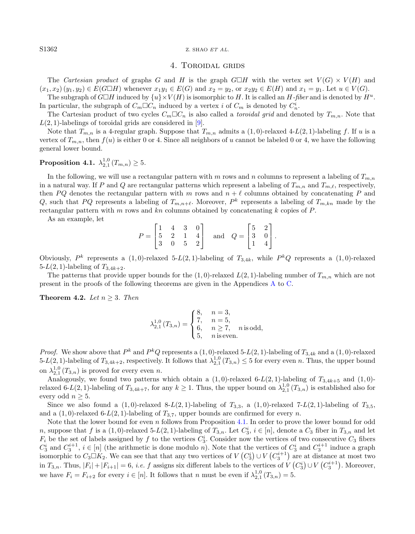#### S1362 Z. SHAO ET AL.

## <span id="page-7-1"></span>4. Toroidal grids

The Cartesian product of graphs G and H is the graph  $G \Box H$  with the vertex set  $V(G) \times V(H)$  and  $(x_1, x_2)(y_1, y_2) \in E(G \Box H)$  whenever  $x_1y_1 \in E(G)$  and  $x_2 = y_2$ , or  $x_2y_2 \in E(H)$  and  $x_1 = y_1$ . Let  $u \in V(G)$ .

The subgraph of  $G \Box H$  induced by  $\{u\} \times V(H)$  is isomorphic to H. It is called an H-fiber and is denoted by  $H^u$ . In particular, the subgraph of  $C_m \Box C_n$  induced by a vertex i of  $C_m$  is denoted by  $C_n^i$ .

The Cartesian product of two cycles  $C_m \Box C_n$  is also called a *toroidal grid* and denoted by  $T_{m,n}$ . Note that  $L(2, 1)$ -labelings of toroidal grids are considered in [\[9\]](#page-12-10).

Note that  $T_{m,n}$  is a 4-regular graph. Suppose that  $T_{m,n}$  admits a  $(1,0)$ -relaxed 4-L(2, 1)-labeling f. If u is a vertex of  $T_{m,n}$ , then  $f(u)$  is either 0 or 4. Since all neighbors of u cannot be labeled 0 or 4, we have the following general lower bound.

# $\textbf{Proposition 4.1.} \hspace{0.2cm} \lambda_{2,1}^{1,0}\left( T_{m,n}\right) \geq 5.$

In the following, we will use a rectangular pattern with m rows and n columns to represent a labeling of  $T_{m,n}$ in a natural way. If P and Q are rectangular patterns which represent a labeling of  $T_{m,n}$  and  $T_{m,\ell}$ , respectively, then PQ denotes the rectangular pattern with m rows and  $n + \ell$  columns obtained by concatenating P and Q, such that PQ represents a labeling of  $T_{m,n+\ell}$ . Moreover, P<sup>k</sup> represents a labeling of  $T_{m,kn}$  made by the rectangular pattern with m rows and  $kn$  columns obtained by concatenating k copies of P.

As an example, let

<span id="page-7-2"></span>
$$
P = \begin{bmatrix} 1 & 4 & 3 & 0 \\ 5 & 2 & 1 & 4 \\ 3 & 0 & 5 & 2 \end{bmatrix} \text{ and } Q = \begin{bmatrix} 5 & 2 \\ 3 & 0 \\ 1 & 4 \end{bmatrix}.
$$

Obviously,  $P^k$  represents a  $(1,0)$ -relaxed 5- $L(2,1)$ -labeling of  $T_{3,4k}$ , while  $P^kQ$  represents a  $(1,0)$ -relaxed 5- $L(2, 1)$ -labeling of  $T_{3,4k+2}$ .

The patterns that provide upper bounds for the  $(1, 0)$ -relaxed  $L(2, 1)$ -labeling number of  $T_{m,n}$  which are not present in the proofs of the following theorems are given in the Appendices [A](#page-11-0) to [C.](#page-12-11)

Theorem 4.2. Let  $n \geq 3$ . Then

$$
\lambda_{2,1}^{1,0}(T_{3,n}) = \begin{cases} 8, & n = 3, \\ 7, & n = 5, \\ 6, & n \ge 7, \\ 5, & n \text{ is even.} \end{cases}
$$

*Proof.* We show above that  $P^k$  and  $P^kQ$  represents a  $(1,0)$ -relaxed 5-L(2, 1)-labeling of  $T_{3,4k}$  and a  $(1,0)$ -relaxed  $5-L(2,1)$ -labeling of  $T_{3,4k+2}$ , respectively. It follows that  $\lambda_{2,1}^{1,0}(T_{3,n}) \leq 5$  for every even n. Thus, the upper bound on  $\lambda_{2,1}^{1,0}(T_{3,n})$  is proved for every even *n*.

Analogously, we found two patterns which obtain a  $(1,0)$ -relaxed 6-L $(2,1)$ -labeling of  $T_{3,4k+5}$  and  $(1,0)$ relaxed 6-L(2, 1)-labeling of  $T_{3,4k+7}$ , for any  $k \ge 1$ . Thus, the upper bound on  $\lambda_{2,1}^{1,0}(T_{3,n})$  is established also for every odd  $n \geq 5$ .

Since we also found a (1,0)-relaxed 8-L(2, 1)-labeling of  $T_{3,3}$ , a (1,0)-relaxed 7-L(2, 1)-labeling of  $T_{3,5}$ , and a  $(1,0)$ -relaxed 6-L(2, 1)-labeling of  $T_{3,7}$ , upper bounds are confirmed for every n.

Note that the lower bound for even n follows from Proposition [4.1.](#page-7-1) In order to prove the lower bound for odd n, suppose that f is a  $(1,0)$ -relaxed 5-L $(2,1)$ -labeling of  $T_{3,n}$ . Let  $C_3^i$ ,  $i \in [n]$ , denote a  $C_3$  fiber in  $T_{3,n}$  and let  $F_i$  be the set of labels assigned by f to the vertices  $C_3^i$ . Consider now the vertices of two consecutive  $C_3$  fibers  $C_3^i$  and  $C_3^{i+1}$ ,  $i \in [n]$  (the arithmetic is done modulo n). Note that the vertices of  $C_3^i$  and  $C_3^{i+1}$  induce a graph isomorphic to  $C_3 \Box K_2$ . We can see that that any two vertices of  $V(C_3^i) \cup V(C_3^{i+1})$  are at distance at most two in  $T_{3,n}$ . Thus,  $|F_i| + |F_{i+1}| = 6$ , *i.e.* f assigns six different labels to the vertices of  $V(C_3^i) \cup V(C_3^{i+1})$ . Moreover, we have  $F_i = F_{i+2}$  for every  $i \in [n]$ . It follows that n must be even if  $\lambda_{2,1}^{1,0}(T_{3,n}) = 5$ .

<span id="page-7-0"></span>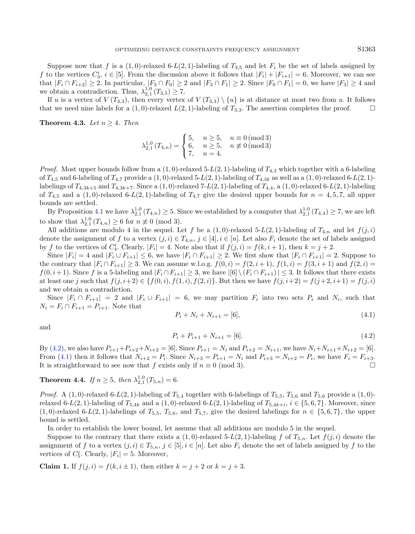Suppose now that f is a  $(1, 0)$ -relaxed 6-L(2, 1)-labeling of  $T_{3,5}$  and let  $F_i$  be the set of labels assigned by f to the vertices  $C_3^i$ ,  $i \in [5]$ . From the discussion above it follows that  $|F_i| + |F_{i+1}| = 6$ . Moreover, we can see that  $|F_i \cap F_{i+2}| \geq 2$ . In particular,  $|F_3 \cap F_0| \geq 2$  and  $|F_3 \cap F_1| \geq 2$ . Since  $|F_0 \cap F_1| = 0$ , we have  $|F_3| \geq 4$  and we obtain a contradiction. Thus,  $\lambda_{2,1}^{1,0}(T_{3,5}) \geq 7$ .

If u is a vertex of  $V(T_{3,3})$ , then every vertex of  $V(T_{3,3}) \setminus \{u\}$  is at distance at most two from u. It follows that we need nine labels for a  $(1, 0)$ -relaxed  $L(2, 1)$ -labeling of  $T_{3,3}$ . The assertion completes the proof.

Theorem 4.3. Let  $n > 4$ . Then

<span id="page-8-1"></span>
$$
\lambda_{2,1}^{1,0}(T_{4,n}) = \begin{cases} 5, & n \ge 5, n \equiv 0 \pmod{3} \\ 6, & n \ge 5, n \not\equiv 0 \pmod{3} \\ 7, & n = 4. \end{cases}
$$

*Proof.* Most upper bounds follow from a  $(1, 0)$ -relaxed 5-L(2, 1)-labeling of  $T_{4,3}$  which together with a 6-labeling of  $T_{4,5}$  and 6-labeling of  $T_{4,7}$  provide a  $(1,0)$ -relaxed 5-L(2, 1)-labeling of  $T_{4,3k}$  as well as a  $(1,0)$ -relaxed 6-L(2, 1)labelings of  $T_{4,3k+5}$  and  $T_{4,3k+7}$ . Since a  $(1,0)$ -relaxed  $7-L(2,1)$ -labeling of  $T_{4,4}$ , a  $(1,0)$ -relaxed  $6-L(2,1)$ -labeling of  $T_{4,5}$  and a (1,0)-relaxed 6-L(2, 1)-labeling of  $T_{4,7}$  give the desired upper bounds for  $n = 4, 5, 7$ , all upper bounds are settled.

By Proposition [4.1](#page-7-1) we have  $\lambda_{2,1}^{1,0}(T_{4,n}) \geq 5$ . Since we established by a computer that  $\lambda_{2,1}^{1,0}(T_{4,4}) \geq 7$ , we are left to show that  $\lambda_{2,1}^{1,0}(T_{4,n}) \ge 6$  for  $n \not\equiv 0 \pmod{3}$ .

<span id="page-8-0"></span>All additions are modulo 4 in the sequel. Let f be a  $(1,0)$ -relaxed 5-L(2, 1)-labeling of  $T_{4,n}$  and let  $f(j,i)$ denote the assignment of f to a vertex  $(j, i) \in T_{4,n}$ ,  $j \in [4], i \in [n]$ . Let also  $F_i$  denote the set of labels assigned by f to the vertices of  $C_4^i$ . Clearly,  $|F_i| = 4$ . Note also that if  $f(j, i) = f(k, i + 1)$ , then  $k = j + 2$ .

Since  $|F_i| = 4$  and  $|F_i \cup F_{i+1}| \leq 6$ , we have  $|F_i \cap F_{i+1}| \geq 2$ . We first show that  $|F_i \cap F_{i+1}| = 2$ . Suppose to the contrary that  $|F_i \cap F_{i+1}| \geq 3$ . We can assume w.l.o.g.  $f(0, i) = f(2, i + 1)$ ,  $f(1, i) = f(3, i + 1)$  and  $f(2, i) =$  $f(0, i+1)$ . Since f is a 5-labeling and  $|F_i \cap F_{i+1}| \geq 3$ , we have  $|[6] \setminus (F_i \cap F_{i+1})| \leq 3$ . It follows that there exists at least one j such that  $f(j, i+2) \in \{f(0, i), f(1, i), f(2, i)\}$ . But then we have  $f(j, i+2) = f(j+2, i+1) = f(j, i)$ and we obtain a contradiction.

Since  $|F_i \cap F_{i+1}| = 2$  and  $|F_i \cup F_{i+1}| = 6$ , we may partition  $F_i$  into two sets  $P_i$  and  $N_i$ , such that  $N_i = F_i \cap F_{i+1} = P_{i+1}$ . Note that

$$
P_i + N_i + N_{i+1} = [6],\tag{4.1}
$$

and

$$
P_i + P_{i+1} + N_{i+1} = [6].
$$
\n
$$
(4.2)
$$

By [\(4.2\)](#page-8-0), we also have  $P_{i+1}+P_{i+2}+N_{i+2} = [6]$ . Since  $P_{i+1} = N_i$  and  $P_{i+2} = N_{i+1}$ , we have  $N_i+N_{i+1}+N_{i+2} = [6]$ . From [\(4.1\)](#page-8-1) then it follows that  $N_{i+2} = P_i$ . Since  $N_{i+3} = P_{i+1} = N_i$  and  $P_{i+3} = N_{i+2} = P_i$ , we have  $F_i = F_{i+3}$ . It is straightforward to see now that f exists only if  $n \equiv 0 \pmod{3}$ .

<span id="page-8-2"></span>**Theorem 4.4.** If  $n \ge 5$ , then  $\lambda_{2,1}^{1,0}(T_{5,n}) = 6$ .

*Proof.* A  $(1,0)$ -relaxed 6-L $(2,1)$ -labeling of  $T_{5,4}$  together with 6-labelings of  $T_{5,5}$ ,  $T_{5,6}$  and  $T_{5,6}$  provide a  $(1,0)$ relaxed 6-L(2, 1)-labeling of  $T_{5,4k}$  and a  $(1,0)$ -relaxed 6-L(2, 1)-labeling of  $T_{5,4k+i}$ ,  $i \in \{5,6,7\}$ . Moreover, since  $(1,0)$ -relaxed 6-L(2, 1)-labelings of  $T_{5,5}$ ,  $T_{5,6}$ , and  $T_{5,7}$ , give the desired labelings for  $n \in \{5,6,7\}$ , the upper bound is settled.

In order to establish the lower bound, let assume that all additions are modulo 5 in the sequel.

Suppose to the contrary that there exists a  $(1,0)$ -relaxed 5-L(2, 1)-labeling f of  $T_{5,n}$ . Let  $f(j,i)$  denote the assignment of f to a vertex  $(j, i) \in T_{5,n}$ ,  $j \in [5], i \in [n]$ . Let also  $F_i$  denote the set of labels assigned by f to the vertices of  $C_5^i$ . Clearly,  $|F_i| = 5$ . Moreover,

**Claim 1.** If  $f(j, i) = f(k, i \pm 1)$ , then either  $k = j + 2$  or  $k = j + 3$ .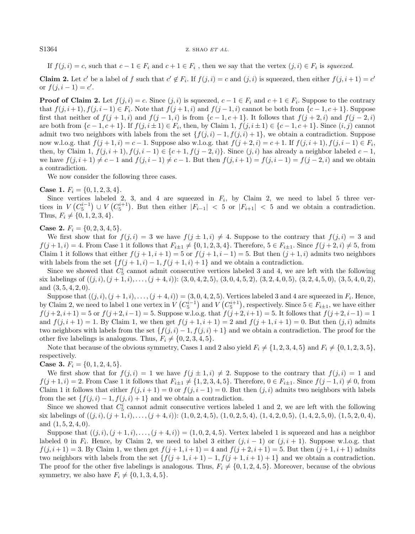### S1364 Z. SHAO ET AL.

If  $f(j, i) = c$ , such that  $c - 1 \in F_i$  and  $c + 1 \in F_i$ , then we say that the vertex  $(j, i) \in F_i$  is squeezed.

**Claim 2.** Let c' be a label of f such that  $c' \notin F_i$ . If  $f(j, i) = c$  and  $(j, i)$  is squeezed, then either  $f(j, i + 1) = c'$ or  $f(j, i - 1) = c'$ .

**Proof of Claim 2.** Let  $f(j, i) = c$ . Since  $(j, i)$  is squeezed,  $c - 1 \in F_i$  and  $c + 1 \in F_i$ . Suppose to the contrary that  $f(j, i+1), f(j, i-1) \in F_i$ . Note that  $f(j+1, i)$  and  $f(j-1, i)$  cannot be both from  $\{c-1, c+1\}$ . Suppose first that neither of  $f(j+1,i)$  and  $f(j-1,i)$  is from  $\{c-1,c+1\}$ . It follows that  $f(j+2,i)$  and  $f(j-2,i)$ are both from  $\{c-1, c+1\}$ . If  $f(j, i \pm 1) \in F_i$ , then, by Claim 1,  $f(j, i \pm 1) \in \{c-1, c+1\}$ . Since  $(i, j)$  cannot admit two two neighbors with labels from the set  $\{f(j, i) - 1, f(j, i) + 1\}$ , we obtain a contradiction. Suppose now w.l.o.g. that  $f(j + 1, i) = c - 1$ . Suppose also w.l.o.g. that  $f(j + 2, i) = c + 1$ . If  $f(j, i + 1), f(j, i - 1) \in F_i$ , then, by Claim 1,  $f(j, i + 1), f(j, i - 1) \in \{c + 1, f(j - 2, i)\}\$ . Since  $(j, i)$  has already a neighbor labeled  $c - 1$ , we have  $f(j, i + 1) \neq c - 1$  and  $f(j, i - 1) \neq c - 1$ . But then  $f(j, i + 1) = f(j, i - 1) = f(j - 2, i)$  and we obtain a contradiction.

We now consider the following three cases.

**Case 1.**  $F_i = \{0, 1, 2, 3, 4\}.$ 

Since vertices labeled 2, 3, and 4 are squeezed in  $F_i$ , by Claim 2, we need to label 5 three vertices in  $V(C_5^{i-1}) \cup V(C_5^{i+1})$ . But then either  $|F_{i-1}| < 5$  or  $|F_{i+1}| < 5$  and we obtain a contradiction. Thus,  $F_i \neq \{0, 1, 2, 3, 4\}.$ 

**Case 2.**  $F_i = \{0, 2, 3, 4, 5\}.$ 

We first show that for  $f(j, i) = 3$  we have  $f(j \pm 1, i) \neq 4$ . Suppose to the contrary that  $f(j, i) = 3$  and  $f(j+1, i) = 4$ . From Case 1 it follows that  $F_{i\pm 1} \neq \{0, 1, 2, 3, 4\}$ . Therefore,  $5 \in F_{i\pm 1}$ . Since  $f(j+2, i) \neq 5$ , from Claim 1 it follows that either  $f(j+1, i+1) = 5$  or  $f(j+1, i-1) = 5$ . But then  $(j+1, i)$  admits two neighbors with labels from the set  $\{f(j+1,i) - 1, f(j+1,i) + 1\}$  and we obtain a contradiction.

Since we showed that  $C_5^i$  cannot admit consecutive vertices labeled 3 and 4, we are left with the following six labelings of  $((j, i), (j + 1, i), \ldots, (j + 4, i))$ :  $(3, 0, 4, 2, 5), (3, 0, 4, 5, 2), (3, 2, 4, 0, 5), (3, 2, 4, 5, 0), (3, 5, 4, 0, 2),$ and  $(3, 5, 4, 2, 0)$ .

Suppose that  $((j, i), (j + 1, i), \ldots, (j + 4, i)) = (3, 0, 4, 2, 5)$ . Vertices labeled 3 and 4 are squeezed in  $F_i$ . Hence, by Claim 2, we need to label 1 one vertex in  $V(C_5^{i-1})$  and  $V(C_5^{i+1})$ , respectively. Since  $5 \in F_{i\pm 1}$ , we have either  $f(j+2, i+1) = 5$  or  $f(j+2, i-1) = 5$ . Suppose w.l.o.g. that  $f(j+2, i+1) = 5$ . It follows that  $f(j+2, i-1) = 1$ and  $f(j, i + 1) = 1$ . By Claim 1, we then get  $f(j + 1, i + 1) = 2$  and  $f(j + 1, i + 1) = 0$ . But then  $(j, i)$  admits two neighbors with labels from the set  $\{f(j, i) - 1, f(j, i) + 1\}$  and we obtain a contradiction. The proof for the other five labelings is analogous. Thus,  $F_i \neq \{0, 2, 3, 4, 5\}.$ 

Note that because of the obvious symmetry, Cases 1 and 2 also yield  $F_i \neq \{1, 2, 3, 4, 5\}$  and  $F_i \neq \{0, 1, 2, 3, 5\}$ , respectively.

**Case 3.**  $F_i = \{0, 1, 2, 4, 5\}.$ 

We first show that for  $f(j, i) = 1$  we have  $f(j \pm 1, i) \neq 2$ . Suppose to the contrary that  $f(j, i) = 1$  and  $f(j+1,i) = 2$ . From Case 1 it follows that  $F_{i+1} \neq \{1, 2, 3, 4, 5\}$ . Therefore,  $0 \in F_{i+1}$ . Since  $f(j-1,i) \neq 0$ , from Claim 1 it follows that either  $f(j, i + 1) = 0$  or  $f(j, i - 1) = 0$ . But then  $(j, i)$  admits two neighbors with labels from the set  $\{f(j, i) - 1, f(j, i) + 1\}$  and we obtain a contradiction.

Since we showed that  $C_5^i$  cannot admit consecutive vertices labeled 1 and 2, we are left with the following six labelings of  $((j, i), (j + 1, i), \ldots, (j + 4, i))$ :  $(1, 0, 2, 4, 5), (1, 0, 2, 5, 4), (1, 4, 2, 0, 5), (1, 4, 2, 5, 0), (1, 5, 2, 0, 4),$ and  $(1, 5, 2, 4, 0)$ .

Suppose that  $((j, i), (j + 1, i), \ldots, (j + 4, i)) = (1, 0, 2, 4, 5)$ . Vertex labeled 1 is squeezed and has a neighbor labeled 0 in  $F_i$ . Hence, by Claim 2, we need to label 3 either  $(j, i - 1)$  or  $(j, i + 1)$ . Suppose w.l.o.g. that  $f(j, i + 1) = 3$ . By Claim 1, we then get  $f(j + 1, i + 1) = 4$  and  $f(j + 2, i + 1) = 5$ . But then  $(j + 1, i + 1)$  admits two neighbors with labels from the set  $\{f(j+1,i+1)-1,f(j+1,i+1)+1\}$  and we obtain a contradiction. The proof for the other five labelings is analogous. Thus,  $F_i \neq \{0, 1, 2, 4, 5\}$ . Moreover, because of the obvious symmetry, we also have  $F_i \neq \{0, 1, 3, 4, 5\}.$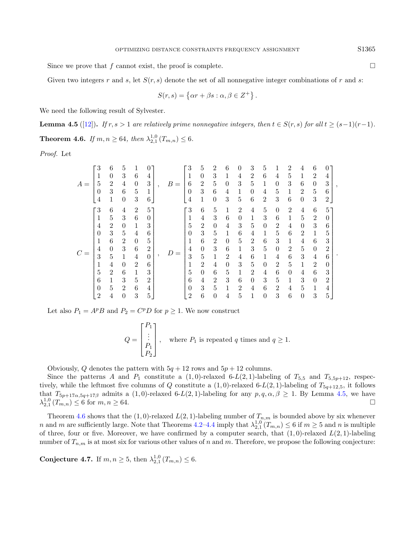Since we prove that  $f$  cannot exist, the proof is complete.

Given two integers r and s, let  $S(r, s)$  denote the set of all nonnegative integer combinations of r and s:

<span id="page-10-0"></span>
$$
S(r,s) = \{ \alpha r + \beta s : \alpha, \beta \in Z^+ \} .
$$

We need the following result of Sylvester.

<span id="page-10-1"></span>**Lemma 4.5** ([\[12\]](#page-12-12)). If  $r, s > 1$  are relatively prime nonnegative integers, then  $t \in S(r, s)$  for all  $t \ge (s-1)(r-1)$ . **Theorem 4.6.** If  $m, n \ge 64$ , then  $\lambda_{2,1}^{1,0}(T_{m,n}) \le 6$ .

Proof. Let

| $A =$ | 3                        | 6              | 5              |                |                |  | B<br>$\!\!\!=\!\!\!$ | 3              | 5              | 2              | 6              | 0              | 3               | 5              |                | 2              |                | 6              |                |  |
|-------|--------------------------|----------------|----------------|----------------|----------------|--|----------------------|----------------|----------------|----------------|----------------|----------------|-----------------|----------------|----------------|----------------|----------------|----------------|----------------|--|
|       | 1                        | $\theta$       | 3              | 6              | 4              |  |                      |                | $\theta$       | 3              | 1              | 4              | $\overline{2}$  | 6              | 4              | 5              | 1              | $\overline{2}$ | 4              |  |
|       | 5                        | $\overline{2}$ | 4              | $\theta$       | 3              |  |                      | 6              | $\overline{2}$ | 5              | $\theta$       | 3              | 5               | 1              | $\theta$       | 3              | 6              | $\theta$       | 3              |  |
|       | 0                        | 3              | 6              | 5              | $\mathbf 1$    |  |                      | $\overline{0}$ | 3              | 6              | 4              | 1              | $\Omega$        | 4              | 5              | 1              | $\overline{2}$ | 5              | 6              |  |
|       | 4                        | 1              | $\theta$       | 3              | 6              |  |                      | 4              | 1              | $\theta$       | 3              | 5              | $6\phantom{.}6$ | $\overline{2}$ | 3              | 6              | $\theta$       | 3              | $\overline{2}$ |  |
|       | $\overline{\phantom{a}}$ | 6              | 4              | $\overline{2}$ | 5              |  |                      | 3              | 6              | 5              | 1              | $\overline{2}$ | 4               | 5              | $\theta$       | $\overline{2}$ | 4              | 6              | $5^{\circ}$    |  |
|       | 1                        | 5              | 3              | 6              | $\Omega$       |  |                      | 1              | 4              | 3              | 6              | $\theta$       | 1               | 3              | 6              | 1              | 5              | $\overline{2}$ | $\Omega$       |  |
|       | 4                        | $\overline{2}$ | $\theta$       | 1              | 3              |  |                      | 5              | $\overline{2}$ | $\theta$       | 4              | 3              | 5               | $\theta$       | $\overline{2}$ | 4              | $\theta$       | 3              | 6              |  |
|       | 0                        | 3              | 5              | 4              | 6              |  |                      | 0              | 3              | 5              | 1              | 6              | 4               | 1              | 5              | 6              | $\overline{2}$ | $\mathbf{1}$   | 5              |  |
|       | 1                        | $\,6$          | $\overline{2}$ | $\theta$       | 5              |  |                      | 1              | 6              | $\overline{2}$ | $\theta$       | 5              | $\overline{2}$  | 6              | 3              | 1              | 4              | 6              | 3              |  |
|       | 4                        | $\theta$       | 3              | 6              | $\overline{2}$ |  |                      | 4              | $\theta$       | 3              | 6              | 1              | 3               | $\bf 5$        | $\theta$       | $\overline{2}$ | 5              | $\theta$       | $\overline{2}$ |  |
|       | 3                        | 5              | 1              | 4              | $\theta$       |  |                      | 3              | 5              | 1              | $\overline{2}$ | 4              | 6               | $\mathbf{1}$   | 4              | 6              | 3              | $\overline{4}$ | 6              |  |
|       | 1                        | $\overline{4}$ | $\theta$       | $\overline{2}$ | 6              |  |                      | 1              | $\overline{2}$ | 4              | $\theta$       | 3              | $\bf 5$         | $\theta$       | $\overline{2}$ | 5              | 1              | $\overline{2}$ | 0              |  |
|       | 5                        | $\overline{2}$ | 6              | 1              | 3              |  |                      | 5              | $\theta$       | 6              | 5              | 1              | $\overline{2}$  | 4              | 6              | $\theta$       | 4              | 6              | 3              |  |
|       | 6                        | 1              | 3              | 5              | $\overline{2}$ |  |                      | 6              | 4              | $\overline{2}$ | 3              | 6              | $\theta$        | 3              | 5              | 1              | 3              | $\theta$       | $\overline{2}$ |  |
|       | 0                        | 5              | $\overline{2}$ | 6              | 4              |  |                      | 0              | 3              | 5              | $\mathbf{1}$   | $\mathfrak{D}$ | $\overline{4}$  | 6              | $\overline{2}$ | $\overline{4}$ | 5              | $\mathbf{1}$   | 4              |  |
|       | $\overline{2}$           | $\overline{4}$ | $\theta$       | 3              | 5              |  |                      | 2              | 6              | $\theta$       | 4              | 5              | 1               | $\theta$       | 3              | 6              | $\theta$       | 3              | 5              |  |

Let also  $P_1 = A^p B$  and  $P_2 = C^p D$  for  $p \ge 1$ . We now construct

$$
Q = \begin{bmatrix} P_1 \\ \vdots \\ P_1 \\ P_2 \end{bmatrix}, \quad \text{where } P_1 \text{ is repeated } q \text{ times and } q \ge 1.
$$

Obviously, Q denotes the pattern with  $5q + 12$  rows and  $5p + 12$  columns.

Since the patterns A and  $P_1$  constitute a  $(1,0)$ -relaxed 6-L $(2,1)$ -labeling of  $T_{5,5}$  and  $T_{5,5p+12}$ , respectively, while the leftmost five columns of Q constitute a  $(1,0)$ -relaxed 6-L $(2,1)$ -labeling of  $T_{5q+12,5}$ , it follows that  $T_{5p+17\alpha,5q+17\beta}$  admits a  $(1,0)$ -relaxed 6-L(2, 1)-labeling for any  $p,q,\alpha,\beta\geq 1$ . By Lemma [4.5,](#page-10-0) we have  $\lambda_{2,1}^{1,0}(T_{m,n}) \leq 6$  for  $m, n \geq 64$ .

Theorem [4.6](#page-10-1) shows that the (1,0)-relaxed  $L(2, 1)$ -labeling number of  $T_{n,m}$  is bounded above by six whenever n and m are sufficiently large. Note that Theorems [4.2–](#page-7-2)[4.4](#page-8-2) imply that  $\lambda_{2,1}^{1,0}(T_{m,n}) \leq 6$  if  $m \geq 5$  and n is multiple of three, four or five. Moreover, we have confirmed by a computer search, that  $(1,0)$ -relaxed  $L(2,1)$ -labeling number of  $T_{n,m}$  is at most six for various other values of n and m. Therefore, we propose the following conjecture:

Conjecture 4.7. If  $m, n \ge 5$ , then  $\lambda_{2,1}^{1,0}(T_{m,n}) \le 6$ .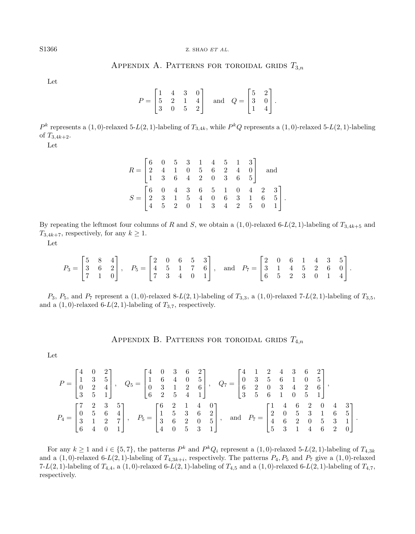## APPENDIX A. PATTERNS FOR TOROIDAL GRIDS  $T_{3,n}$

<span id="page-11-0"></span>Let

$$
P = \begin{bmatrix} 1 & 4 & 3 & 0 \\ 5 & 2 & 1 & 4 \\ 3 & 0 & 5 & 2 \end{bmatrix} \text{ and } Q = \begin{bmatrix} 5 & 2 \\ 3 & 0 \\ 1 & 4 \end{bmatrix}.
$$

 $P^k$  represents a  $(1,0)$ -relaxed 5-L(2, 1)-labeling of  $T_{3,4k}$ , while  $P^kQ$  represents a  $(1,0)$ -relaxed 5-L(2, 1)-labeling of  $T_{3,4k+2}$ .

Let

| $R = \begin{bmatrix} 6 & 0 & 5 & 3 & 1 & 4 & 5 & 1 & 3 \\ 2 & 4 & 1 & 0 & 5 & 6 & 2 & 4 & 0 \\ 1 & 3 & 6 & 4 & 2 & 0 & 3 & 6 & 5 \end{bmatrix} \quad \text{and}$         |  |  |  |  |  |  |
|--------------------------------------------------------------------------------------------------------------------------------------------------------------------------|--|--|--|--|--|--|
| $S = \begin{bmatrix} 6 & 0 & 4 & 3 & 6 & 5 & 1 & 0 & 4 & 2 & 3 \\ 2 & 3 & 1 & 5 & 4 & 0 & 6 & 3 & 1 & 6 & 5 \\ 4 & 5 & 2 & 0 & 1 & 3 & 4 & 2 & 5 & 0 & 1 \end{bmatrix}.$ |  |  |  |  |  |  |

By repeating the leftmost four columns of R and S, we obtain a  $(1, 0)$ -relaxed 6-L(2, 1)-labeling of  $T_{3,4k+5}$  and  $T_{3,4k+7}$ , respectively, for any  $k \geq 1$ .

Let

$$
P_3 = \begin{bmatrix} 5 & 8 & 4 \\ 3 & 6 & 2 \\ 7 & 1 & 0 \end{bmatrix}, \quad P_5 = \begin{bmatrix} 2 & 0 & 6 & 5 & 3 \\ 4 & 5 & 1 & 7 & 6 \\ 7 & 3 & 4 & 0 & 1 \end{bmatrix}, \quad \text{and} \quad P_7 = \begin{bmatrix} 2 & 0 & 6 & 1 & 4 & 3 & 5 \\ 3 & 1 & 4 & 5 & 2 & 6 & 0 \\ 6 & 5 & 2 & 3 & 0 & 1 & 4 \end{bmatrix}.
$$

 $P_3$ ,  $P_5$ , and  $P_7$  represent a  $(1,0)$ -relaxed 8-L $(2,1)$ -labeling of  $T_{3,3}$ , a  $(1,0)$ -relaxed 7-L $(2,1)$ -labeling of  $T_{3,5}$ , and a  $(1, 0)$ -relaxed 6-L $(2, 1)$ -labeling of  $T_{3,7}$ , respectively.

APPENDIX B. PATTERNS FOR TOROIDAL GRIDS  $T_{4,n}$ 

Let

$$
P = \begin{bmatrix} 4 & 0 & 2 \\ 1 & 3 & 5 \\ 0 & 2 & 4 \\ 3 & 5 & 1 \end{bmatrix}, \quad Q_5 = \begin{bmatrix} 4 & 0 & 3 & 6 & 2 \\ 1 & 6 & 4 & 0 & 5 \\ 0 & 3 & 1 & 2 & 6 \\ 6 & 2 & 5 & 4 & 1 \end{bmatrix}, \quad Q_7 = \begin{bmatrix} 4 & 1 & 2 & 4 & 3 & 6 & 2 \\ 0 & 3 & 5 & 6 & 1 & 0 & 5 \\ 6 & 2 & 0 & 3 & 4 & 2 & 6 \\ 3 & 5 & 6 & 1 & 0 & 5 & 1 \end{bmatrix},
$$
  
\n
$$
P_4 = \begin{bmatrix} 7 & 2 & 3 & 5 \\ 0 & 5 & 6 & 4 \\ 3 & 1 & 2 & 7 \\ 6 & 4 & 0 & 1 \end{bmatrix}, \quad P_5 = \begin{bmatrix} 6 & 2 & 1 & 4 & 0 \\ 1 & 5 & 3 & 6 & 2 \\ 3 & 6 & 2 & 0 & 5 \\ 4 & 0 & 5 & 3 & 1 \end{bmatrix}, \text{ and } P_7 = \begin{bmatrix} 1 & 4 & 6 & 2 & 0 & 4 & 3 \\ 2 & 0 & 5 & 3 & 1 & 6 & 5 \\ 4 & 6 & 2 & 0 & 5 & 3 & 1 \\ 5 & 3 & 1 & 4 & 6 & 2 & 0 \end{bmatrix}.
$$

For any  $k \ge 1$  and  $i \in \{5, 7\}$ , the patterns  $P^k$  and  $P^kQ_i$  represent a  $(1, 0)$ -relaxed 5-L(2, 1)-labeling of  $T_{4,3k}$ and a  $(1,0)$ -relaxed 6-L $(2,1)$ -labeling of  $T_{4,3k+i}$ , respectively. The patterns  $P_4, P_5$  and  $P_7$  give a  $(1,0)$ -relaxed 7-L(2, 1)-labeling of  $T_{4,4}$ , a (1,0)-relaxed 6-L(2, 1)-labeling of  $T_{4,5}$  and a (1,0)-relaxed 6-L(2, 1)-labeling of  $T_{4,7}$ , respectively.